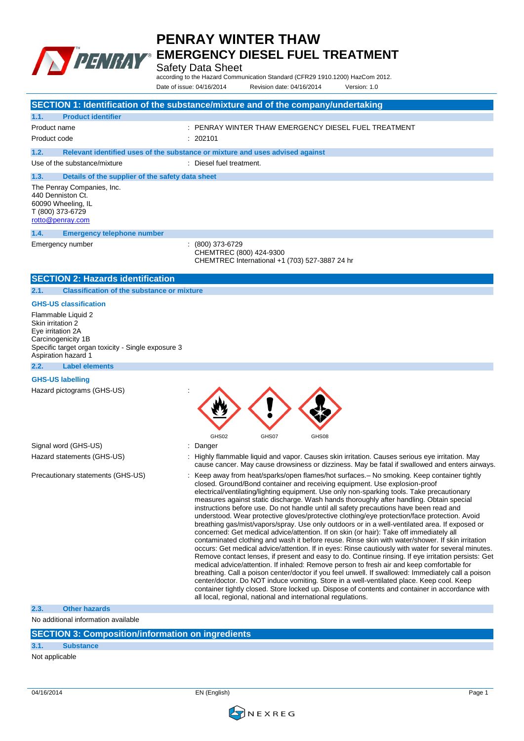

## **PENRAY WINTER THAW**

**EMERGENCY DIESEL FUEL TREATMENT**

Safety Data Sheet

according to the Hazard Communication Standard (CFR29 1910.1200) HazCom 2012. Date of issue: 04/16/2014 Revision date: 04/16/2014 Version: 1.0

|                                                                                                                                                                 | SECTION 1: Identification of the substance/mixture and of the company/undertaking                                                                                                                                                                                                                                                                                                                                                                                                                                                                                                                                                                                                                                                                                                                                                                                                                                                                                                                                                                                                                                                                                                                                                                                                                                                                                                                                                                                                                                                          |
|-----------------------------------------------------------------------------------------------------------------------------------------------------------------|--------------------------------------------------------------------------------------------------------------------------------------------------------------------------------------------------------------------------------------------------------------------------------------------------------------------------------------------------------------------------------------------------------------------------------------------------------------------------------------------------------------------------------------------------------------------------------------------------------------------------------------------------------------------------------------------------------------------------------------------------------------------------------------------------------------------------------------------------------------------------------------------------------------------------------------------------------------------------------------------------------------------------------------------------------------------------------------------------------------------------------------------------------------------------------------------------------------------------------------------------------------------------------------------------------------------------------------------------------------------------------------------------------------------------------------------------------------------------------------------------------------------------------------------|
| 1.1.<br><b>Product identifier</b>                                                                                                                               |                                                                                                                                                                                                                                                                                                                                                                                                                                                                                                                                                                                                                                                                                                                                                                                                                                                                                                                                                                                                                                                                                                                                                                                                                                                                                                                                                                                                                                                                                                                                            |
| Product name                                                                                                                                                    |                                                                                                                                                                                                                                                                                                                                                                                                                                                                                                                                                                                                                                                                                                                                                                                                                                                                                                                                                                                                                                                                                                                                                                                                                                                                                                                                                                                                                                                                                                                                            |
| Product code                                                                                                                                                    | : 202101                                                                                                                                                                                                                                                                                                                                                                                                                                                                                                                                                                                                                                                                                                                                                                                                                                                                                                                                                                                                                                                                                                                                                                                                                                                                                                                                                                                                                                                                                                                                   |
| 1.2.                                                                                                                                                            | Relevant identified uses of the substance or mixture and uses advised against                                                                                                                                                                                                                                                                                                                                                                                                                                                                                                                                                                                                                                                                                                                                                                                                                                                                                                                                                                                                                                                                                                                                                                                                                                                                                                                                                                                                                                                              |
| Use of the substance/mixture                                                                                                                                    | : Diesel fuel treatment.                                                                                                                                                                                                                                                                                                                                                                                                                                                                                                                                                                                                                                                                                                                                                                                                                                                                                                                                                                                                                                                                                                                                                                                                                                                                                                                                                                                                                                                                                                                   |
| 1.3.<br>Details of the supplier of the safety data sheet                                                                                                        |                                                                                                                                                                                                                                                                                                                                                                                                                                                                                                                                                                                                                                                                                                                                                                                                                                                                                                                                                                                                                                                                                                                                                                                                                                                                                                                                                                                                                                                                                                                                            |
| The Penray Companies, Inc.<br>440 Denniston Ct.<br>60090 Wheeling, IL<br>T (800) 373-6729<br>rotto@penray.com                                                   |                                                                                                                                                                                                                                                                                                                                                                                                                                                                                                                                                                                                                                                                                                                                                                                                                                                                                                                                                                                                                                                                                                                                                                                                                                                                                                                                                                                                                                                                                                                                            |
| 1.4.<br><b>Emergency telephone number</b>                                                                                                                       |                                                                                                                                                                                                                                                                                                                                                                                                                                                                                                                                                                                                                                                                                                                                                                                                                                                                                                                                                                                                                                                                                                                                                                                                                                                                                                                                                                                                                                                                                                                                            |
| Emergency number                                                                                                                                                | (800) 373-6729<br>CHEMTREC (800) 424-9300<br>CHEMTREC International +1 (703) 527-3887 24 hr                                                                                                                                                                                                                                                                                                                                                                                                                                                                                                                                                                                                                                                                                                                                                                                                                                                                                                                                                                                                                                                                                                                                                                                                                                                                                                                                                                                                                                                |
| <b>SECTION 2: Hazards identification</b>                                                                                                                        |                                                                                                                                                                                                                                                                                                                                                                                                                                                                                                                                                                                                                                                                                                                                                                                                                                                                                                                                                                                                                                                                                                                                                                                                                                                                                                                                                                                                                                                                                                                                            |
| <b>Classification of the substance or mixture</b><br>2.1.                                                                                                       |                                                                                                                                                                                                                                                                                                                                                                                                                                                                                                                                                                                                                                                                                                                                                                                                                                                                                                                                                                                                                                                                                                                                                                                                                                                                                                                                                                                                                                                                                                                                            |
| <b>GHS-US classification</b>                                                                                                                                    |                                                                                                                                                                                                                                                                                                                                                                                                                                                                                                                                                                                                                                                                                                                                                                                                                                                                                                                                                                                                                                                                                                                                                                                                                                                                                                                                                                                                                                                                                                                                            |
| Flammable Liquid 2<br>Skin irritation 2<br>Eye irritation 2A<br>Carcinogenicity 1B<br>Specific target organ toxicity - Single exposure 3<br>Aspiration hazard 1 |                                                                                                                                                                                                                                                                                                                                                                                                                                                                                                                                                                                                                                                                                                                                                                                                                                                                                                                                                                                                                                                                                                                                                                                                                                                                                                                                                                                                                                                                                                                                            |
| 2.2.<br><b>Label elements</b>                                                                                                                                   |                                                                                                                                                                                                                                                                                                                                                                                                                                                                                                                                                                                                                                                                                                                                                                                                                                                                                                                                                                                                                                                                                                                                                                                                                                                                                                                                                                                                                                                                                                                                            |
| <b>GHS-US labelling</b><br>Hazard pictograms (GHS-US)                                                                                                           | GHS02<br>GHS07<br>GHS08                                                                                                                                                                                                                                                                                                                                                                                                                                                                                                                                                                                                                                                                                                                                                                                                                                                                                                                                                                                                                                                                                                                                                                                                                                                                                                                                                                                                                                                                                                                    |
| Signal word (GHS-US)                                                                                                                                            | Danger<br>÷                                                                                                                                                                                                                                                                                                                                                                                                                                                                                                                                                                                                                                                                                                                                                                                                                                                                                                                                                                                                                                                                                                                                                                                                                                                                                                                                                                                                                                                                                                                                |
| Hazard statements (GHS-US)                                                                                                                                      | : Highly flammable liquid and vapor. Causes skin irritation. Causes serious eye irritation. May<br>cause cancer. May cause drowsiness or dizziness. May be fatal if swallowed and enters airways.                                                                                                                                                                                                                                                                                                                                                                                                                                                                                                                                                                                                                                                                                                                                                                                                                                                                                                                                                                                                                                                                                                                                                                                                                                                                                                                                          |
| Precautionary statements (GHS-US)                                                                                                                               | Keep away from heat/sparks/open flames/hot surfaces. - No smoking. Keep container tightly<br>closed. Ground/Bond container and receiving equipment. Use explosion-proof<br>electrical/ventilating/lighting equipment. Use only non-sparking tools. Take precautionary<br>measures against static discharge. Wash hands thoroughly after handling. Obtain special<br>instructions before use. Do not handle until all safety precautions have been read and<br>understood. Wear protective gloves/protective clothing/eye protection/face protection. Avoid<br>breathing gas/mist/vapors/spray. Use only outdoors or in a well-ventilated area. If exposed or<br>concerned: Get medical advice/attention. If on skin (or hair): Take off immediately all<br>contaminated clothing and wash it before reuse. Rinse skin with water/shower. If skin irritation<br>occurs: Get medical advice/attention. If in eyes: Rinse cautiously with water for several minutes.<br>Remove contact lenses, if present and easy to do. Continue rinsing. If eye irritation persists: Get<br>medical advice/attention. If inhaled: Remove person to fresh air and keep comfortable for<br>breathing. Call a poison center/doctor if you feel unwell. If swallowed: Immediately call a poison<br>center/doctor. Do NOT induce vomiting. Store in a well-ventilated place. Keep cool. Keep<br>container tightly closed. Store locked up. Dispose of contents and container in accordance with<br>all local, regional, national and international regulations. |
| <b>Other hazards</b><br>2.3.                                                                                                                                    |                                                                                                                                                                                                                                                                                                                                                                                                                                                                                                                                                                                                                                                                                                                                                                                                                                                                                                                                                                                                                                                                                                                                                                                                                                                                                                                                                                                                                                                                                                                                            |
| No additional information available                                                                                                                             |                                                                                                                                                                                                                                                                                                                                                                                                                                                                                                                                                                                                                                                                                                                                                                                                                                                                                                                                                                                                                                                                                                                                                                                                                                                                                                                                                                                                                                                                                                                                            |
| <b>SECTION 3: Composition/information on ingredients</b>                                                                                                        |                                                                                                                                                                                                                                                                                                                                                                                                                                                                                                                                                                                                                                                                                                                                                                                                                                                                                                                                                                                                                                                                                                                                                                                                                                                                                                                                                                                                                                                                                                                                            |
| 3.1.<br><b>Substance</b>                                                                                                                                        |                                                                                                                                                                                                                                                                                                                                                                                                                                                                                                                                                                                                                                                                                                                                                                                                                                                                                                                                                                                                                                                                                                                                                                                                                                                                                                                                                                                                                                                                                                                                            |

Not applicable

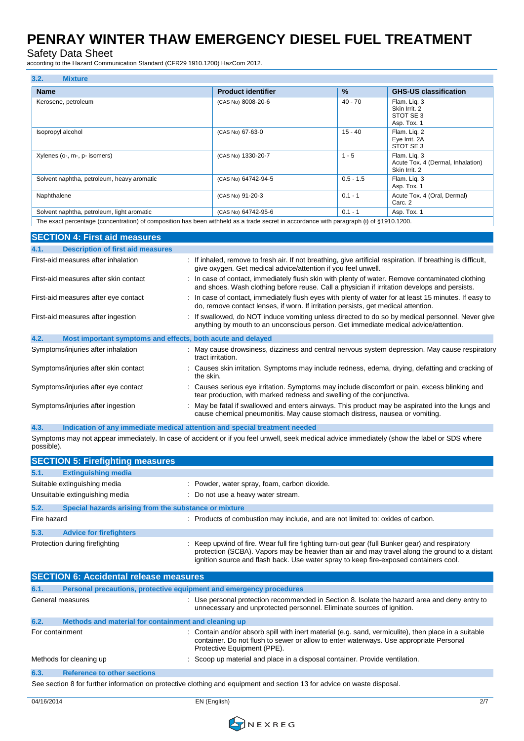Safety Data Sheet

according to the Hazard Communication Standard (CFR29 1910.1200) HazCom 2012.

| 3.2.<br><b>Mixture</b>                                                                                                                  |                           |               |                                                                    |
|-----------------------------------------------------------------------------------------------------------------------------------------|---------------------------|---------------|--------------------------------------------------------------------|
| <b>Name</b>                                                                                                                             | <b>Product identifier</b> | $\frac{9}{6}$ | <b>GHS-US classification</b>                                       |
| Kerosene, petroleum                                                                                                                     | (CAS No) 8008-20-6        | $40 - 70$     | Flam. Lig. 3<br>Skin Irrit, 2<br>STOT SE3<br>Asp. Tox. 1           |
| Isopropyl alcohol                                                                                                                       | (CAS No) 67-63-0          | $15 - 40$     | Flam. Lig. 2<br>Eye Irrit. 2A<br>STOT SE 3                         |
| Xylenes (o-, m-, p- isomers)                                                                                                            | (CAS No) 1330-20-7        | $1 - 5$       | Flam. Lig. 3<br>Acute Tox. 4 (Dermal, Inhalation)<br>Skin Irrit. 2 |
| Solvent naphtha, petroleum, heavy aromatic                                                                                              | (CAS No) 64742-94-5       | $0.5 - 1.5$   | Flam. Lig. 3<br>Asp. Tox. 1                                        |
| Naphthalene                                                                                                                             | (CAS No) 91-20-3          | $0.1 - 1$     | Acute Tox. 4 (Oral, Dermal)<br>Carc. 2                             |
| Solvent naphtha, petroleum, light aromatic                                                                                              | (CAS No) 64742-95-6       | $0.1 - 1$     | Asp. Tox. 1                                                        |
| The exact percentage (concentration) of composition has been withheld as a trade secret in accordance with paragraph (i) of §1910.1200. |                           |               |                                                                    |

#### **SECTION 4: First aid measures 4.1. Description of first aid measures** First-aid measures after inhalation : If inhaled, remove to fresh air. If not breathing, give artificial respiration. If breathing is difficult, give oxygen. Get medical advice/attention if you feel unwell. First-aid measures after skin contact : In case of contact, immediately flush skin with plenty of water. Remove contaminated clothing and shoes. Wash clothing before reuse. Call a physician if irritation develops and persists. First-aid measures after eye contact : In case of contact, immediately flush eyes with plenty of water for at least 15 minutes. If easy to do, remove contact lenses, if worn. If irritation persists, get medical attention. First-aid measures after ingestion : If swallowed, do NOT induce vomiting unless directed to do so by medical personnel. Never give anything by mouth to an unconscious person. Get immediate medical advice/attention. **4.2. Most important symptoms and effects, both acute and delayed** Symptoms/injuries after inhalation : May cause drowsiness, dizziness and central nervous system depression. May cause respiratory tract irritation. Symptoms/injuries after skin contact : Causes skin irritation. Symptoms may include redness, edema, drying, defatting and cracking of the skin. Symptoms/injuries after eye contact : Causes serious eye irritation. Symptoms may include discomfort or pain, excess blinking and tear production, with marked redness and swelling of the conjunctiva. Symptoms/injuries after ingestion : May be fatal if swallowed and enters airways. This product may be aspirated into the lungs and cause chemical pneumonitis. May cause stomach distress, nausea or vomiting.

**4.3. Indication of any immediate medical attention and special treatment needed** Symptoms may not appear immediately. In case of accident or if you feel unwell, seek medical advice immediately (show the label or SDS where possible).

|             | <b>SECTION 5: Firefighting measures</b>                             |                                                                                                                                                                                                                                                                                          |
|-------------|---------------------------------------------------------------------|------------------------------------------------------------------------------------------------------------------------------------------------------------------------------------------------------------------------------------------------------------------------------------------|
| 5.1.        | <b>Extinguishing media</b>                                          |                                                                                                                                                                                                                                                                                          |
|             | Suitable extinguishing media                                        | Powder, water spray, foam, carbon dioxide.                                                                                                                                                                                                                                               |
|             | Unsuitable extinguishing media                                      | : Do not use a heavy water stream.                                                                                                                                                                                                                                                       |
| 5.2.        | Special hazards arising from the substance or mixture               |                                                                                                                                                                                                                                                                                          |
| Fire hazard |                                                                     | : Products of combustion may include, and are not limited to: oxides of carbon.                                                                                                                                                                                                          |
| 5.3.        | <b>Advice for firefighters</b>                                      |                                                                                                                                                                                                                                                                                          |
|             | Protection during firefighting                                      | Keep upwind of fire. Wear full fire fighting turn-out gear (full Bunker gear) and respiratory<br>protection (SCBA). Vapors may be heavier than air and may travel along the ground to a distant<br>ignition source and flash back. Use water spray to keep fire-exposed containers cool. |
|             | <b>SECTION 6: Accidental release measures</b>                       |                                                                                                                                                                                                                                                                                          |
| 6.1.        | Personal precautions, protective equipment and emergency procedures |                                                                                                                                                                                                                                                                                          |
|             | General measures                                                    | : Use personal protection recommended in Section 8. Isolate the hazard area and deny entry to<br>unnecessary and unprotected personnel. Eliminate sources of ignition.                                                                                                                   |
| 6.2.        | Methods and material for containment and cleaning up                |                                                                                                                                                                                                                                                                                          |
|             | For containment                                                     | Contain and/or absorb spill with inert material (e.g. sand, vermiculite), then place in a suitable<br>container. Do not flush to sewer or allow to enter waterways. Use appropriate Personal<br>Protective Equipment (PPE).                                                              |
|             | Methods for cleaning up                                             | Scoop up material and place in a disposal container. Provide ventilation.                                                                                                                                                                                                                |
| 6.3.        | <b>Reference to other sections</b>                                  |                                                                                                                                                                                                                                                                                          |
|             |                                                                     | See section 8 for further information on protective clothing and equipment and section 13 for advice on waste disposal.                                                                                                                                                                  |

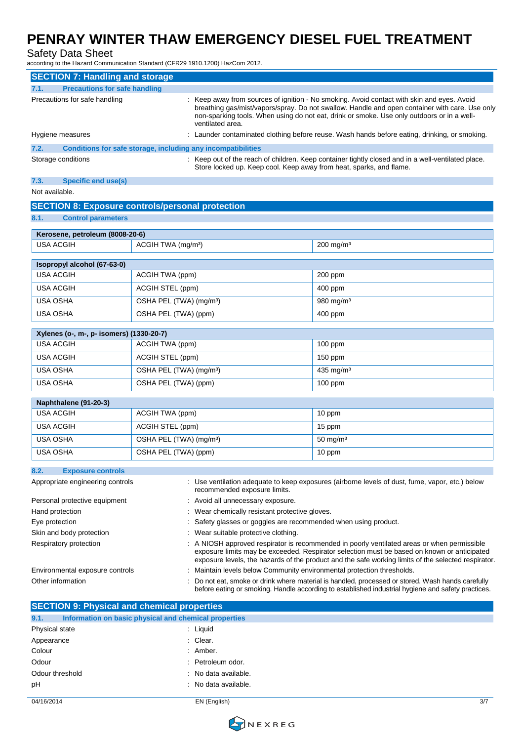## Safety Data Sheet

according to the Hazard Communication Standard (CFR29 1910.1200) HazCom 2012.

|      | <b>SECTION 7: Handling and storage</b>                       |                                                                                                                                                                                                                                                                                                                |
|------|--------------------------------------------------------------|----------------------------------------------------------------------------------------------------------------------------------------------------------------------------------------------------------------------------------------------------------------------------------------------------------------|
| 7.1. | <b>Precautions for safe handling</b>                         |                                                                                                                                                                                                                                                                                                                |
|      | Precautions for safe handling                                | : Keep away from sources of ignition - No smoking. Avoid contact with skin and eyes. Avoid<br>breathing gas/mist/vapors/spray. Do not swallow. Handle and open container with care. Use only<br>non-sparking tools. When using do not eat, drink or smoke. Use only outdoors or in a well-<br>ventilated area. |
|      | Hygiene measures                                             | : Launder contaminated clothing before reuse. Wash hands before eating, drinking, or smoking.                                                                                                                                                                                                                  |
| 7.2. | Conditions for safe storage, including any incompatibilities |                                                                                                                                                                                                                                                                                                                |
|      | Storage conditions                                           | : Keep out of the reach of children. Keep container tightly closed and in a well-ventilated place.<br>Store locked up. Keep cool. Keep away from heat, sparks, and flame.                                                                                                                                      |

#### **7.3. Specific end use(s)**

Not available.

| <b>Control parameters</b><br>Kerosene, petroleum (8008-20-6)<br>200 mg/m <sup>3</sup><br><b>USA ACGIH</b><br>ACGIH TWA (mg/m <sup>3</sup> )<br>Isopropyl alcohol (67-63-0)<br><b>USA ACGIH</b><br>ACGIH TWA (ppm)<br>200 ppm<br><b>USA ACGIH</b><br>ACGIH STEL (ppm)<br>400 ppm<br><b>USA OSHA</b><br>OSHA PEL (TWA) (mg/m <sup>3</sup> )<br>980 mg/m $3$<br>OSHA PEL (TWA) (ppm)<br><b>USA OSHA</b><br>400 ppm<br>Xylenes (o-, m-, p- isomers) (1330-20-7)<br>ACGIH TWA (ppm)<br>$100$ ppm<br><b>USA ACGIH</b><br><b>USA ACGIH</b><br>ACGIH STEL (ppm)<br>$150$ ppm<br>USA OSHA<br>OSHA PEL (TWA) (mg/m <sup>3</sup> )<br>435 mg/m $3$<br><b>USA OSHA</b> | <b>SECTION 8: Exposure controls/personal protection</b> |                      |         |  |  |
|------------------------------------------------------------------------------------------------------------------------------------------------------------------------------------------------------------------------------------------------------------------------------------------------------------------------------------------------------------------------------------------------------------------------------------------------------------------------------------------------------------------------------------------------------------------------------------------------------------------------------------------------------------|---------------------------------------------------------|----------------------|---------|--|--|
|                                                                                                                                                                                                                                                                                                                                                                                                                                                                                                                                                                                                                                                            | 8.1.                                                    |                      |         |  |  |
|                                                                                                                                                                                                                                                                                                                                                                                                                                                                                                                                                                                                                                                            |                                                         |                      |         |  |  |
|                                                                                                                                                                                                                                                                                                                                                                                                                                                                                                                                                                                                                                                            |                                                         |                      |         |  |  |
|                                                                                                                                                                                                                                                                                                                                                                                                                                                                                                                                                                                                                                                            |                                                         |                      |         |  |  |
|                                                                                                                                                                                                                                                                                                                                                                                                                                                                                                                                                                                                                                                            |                                                         |                      |         |  |  |
|                                                                                                                                                                                                                                                                                                                                                                                                                                                                                                                                                                                                                                                            |                                                         |                      |         |  |  |
|                                                                                                                                                                                                                                                                                                                                                                                                                                                                                                                                                                                                                                                            |                                                         |                      |         |  |  |
|                                                                                                                                                                                                                                                                                                                                                                                                                                                                                                                                                                                                                                                            |                                                         |                      |         |  |  |
|                                                                                                                                                                                                                                                                                                                                                                                                                                                                                                                                                                                                                                                            |                                                         |                      |         |  |  |
|                                                                                                                                                                                                                                                                                                                                                                                                                                                                                                                                                                                                                                                            |                                                         |                      |         |  |  |
|                                                                                                                                                                                                                                                                                                                                                                                                                                                                                                                                                                                                                                                            |                                                         |                      |         |  |  |
|                                                                                                                                                                                                                                                                                                                                                                                                                                                                                                                                                                                                                                                            |                                                         |                      |         |  |  |
|                                                                                                                                                                                                                                                                                                                                                                                                                                                                                                                                                                                                                                                            |                                                         |                      |         |  |  |
|                                                                                                                                                                                                                                                                                                                                                                                                                                                                                                                                                                                                                                                            |                                                         |                      |         |  |  |
|                                                                                                                                                                                                                                                                                                                                                                                                                                                                                                                                                                                                                                                            |                                                         |                      |         |  |  |
|                                                                                                                                                                                                                                                                                                                                                                                                                                                                                                                                                                                                                                                            |                                                         | OSHA PEL (TWA) (ppm) | 100 ppm |  |  |
| Naphthalene (91-20-3)                                                                                                                                                                                                                                                                                                                                                                                                                                                                                                                                                                                                                                      |                                                         |                      |         |  |  |

| USA ACGIH | ACGIH TWA (ppm)                     | 10 ppm              |
|-----------|-------------------------------------|---------------------|
| USA ACGIH | ACGIH STEL (ppm)                    | 15 ppm              |
| USA OSHA  | OSHA PEL (TWA) (mg/m <sup>3</sup> ) | $50 \text{ mg/m}^3$ |
| USA OSHA  | OSHA PEL (TWA) (ppm)                | 10 ppm              |

#### **8.2. Exposure controls**

| Appropriate engineering controls | : Use ventilation adequate to keep exposures (airborne levels of dust, fume, vapor, etc.) below<br>recommended exposure limits.                                                                                                                                                                   |
|----------------------------------|---------------------------------------------------------------------------------------------------------------------------------------------------------------------------------------------------------------------------------------------------------------------------------------------------|
| Personal protective equipment    | : Avoid all unnecessary exposure.                                                                                                                                                                                                                                                                 |
| Hand protection                  | : Wear chemically resistant protective gloves.                                                                                                                                                                                                                                                    |
| Eye protection                   | Safety glasses or goggles are recommended when using product.                                                                                                                                                                                                                                     |
| Skin and body protection         | : Wear suitable protective clothing.                                                                                                                                                                                                                                                              |
| Respiratory protection           | : A NIOSH approved respirator is recommended in poorly ventilated areas or when permissible<br>exposure limits may be exceeded. Respirator selection must be based on known or anticipated<br>exposure levels, the hazards of the product and the safe working limits of the selected respirator. |
| Environmental exposure controls  | : Maintain levels below Community environmental protection thresholds.                                                                                                                                                                                                                            |
| Other information                | Do not eat, smoke or drink where material is handled, processed or stored. Wash hands carefully<br>before eating or smoking. Handle according to established industrial hygiene and safety practices.                                                                                             |

## **SECTION 9: Physical and chemical properties 9.1. Information on basic physical and chemical properties** Physical state : Liquid Appearance : Clear. Colour : Amber. Odour : Petroleum odor. Odour threshold **in the contract of the Contract Contract Contract Contract Contract Contract Contract Contract Contract Contract Contract Contract Contract Contract Contract Contract Contract Contract Contract Contract Co** pH : No data available.

04/16/2014 EN (English) 3/7

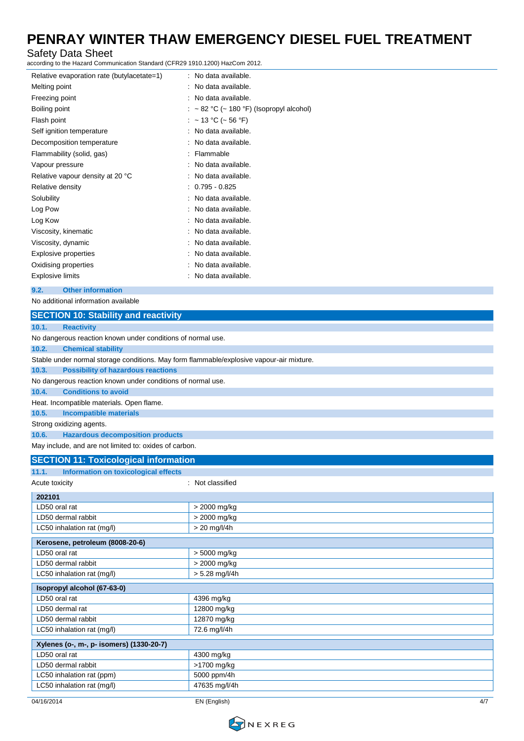### Safety Data Sheet

according to the Hazard Communication Standard (CFR29 1910.1200) HazCom 2012.

| Relative evaporation rate (butylacetate=1) | : No data available.                     |
|--------------------------------------------|------------------------------------------|
| Melting point                              | : No data available.                     |
| Freezing point                             | : No data available.                     |
| Boiling point                              | : ~ 82 °C (~ 180 °F) (Isopropyl alcohol) |
| Flash point                                | : ~13 °C (~56 °F)                        |
| Self ignition temperature                  | : No data available.                     |
| Decomposition temperature                  | : No data available.                     |
| Flammability (solid, gas)                  | : Flammable                              |
| Vapour pressure                            | : No data available.                     |
| Relative vapour density at 20 °C           | : No data available.                     |
| Relative density                           | $: 0.795 - 0.825$                        |
| Solubility                                 | : No data available.                     |
| Log Pow                                    | : No data available.                     |
| Log Kow                                    | : No data available.                     |
| Viscosity, kinematic                       | : No data available.                     |
| Viscosity, dynamic                         | : No data available.                     |
| Explosive properties                       | No data available.                       |
| Oxidising properties                       | No data available.                       |
| Explosive limits                           | : No data available.                     |

#### **9.2. Other information**

No additional information available

## **SECTION 10: Stability and reactivity**

| 10.1. | <b>Reactivity</b> |  |
|-------|-------------------|--|
|       |                   |  |

| No dangerous reaction known under conditions of normal use.                              |
|------------------------------------------------------------------------------------------|
| 10.2.<br><b>Chemical stability</b>                                                       |
| Stable under normal storage conditions. May form flammable/explosive vapour-air mixture. |
| <b>Possibility of hazardous reactions</b><br>10.3.                                       |
| No dangerous reaction known under conditions of normal use.                              |
| <b>Conditions to avoid</b><br>10.4.                                                      |
| Heat. Incompatible materials. Open flame.                                                |
| 10.5.<br>Incompatible materials                                                          |
| Strong oxidizing agents.                                                                 |
| <b>Hazardous decomposition products</b><br>10.6.                                         |
| May include, and are not limited to: oxides of carbon.                                   |

## **SECTION 11: Toxicological information**

| 11.1.<br>Information on toxicological effects |                  |
|-----------------------------------------------|------------------|
| Acute toxicity                                | : Not classified |
| 202101                                        |                  |
| LD50 oral rat                                 | > 2000 mg/kg     |
| LD50 dermal rabbit                            | > 2000 mg/kg     |
| LC50 inhalation rat (mg/l)                    | $> 20$ mg/l/4h   |
| Kerosene, petroleum (8008-20-6)               |                  |
| LD50 oral rat                                 | > 5000 mg/kg     |
| LD50 dermal rabbit                            | > 2000 mg/kg     |
| LC50 inhalation rat (mg/l)                    | $> 5.28$ mg/l/4h |
|                                               |                  |
| Isopropyl alcohol (67-63-0)                   |                  |
| LD50 oral rat                                 | 4396 mg/kg       |
| LD50 dermal rat                               | 12800 mg/kg      |
| LD50 dermal rabbit                            | 12870 mg/kg      |
| LC50 inhalation rat (mg/l)                    | 72.6 mg/l/4h     |
| Xylenes (o-, m-, p- isomers) (1330-20-7)      |                  |
| LD50 oral rat                                 | 4300 mg/kg       |
| LD50 dermal rabbit                            | >1700 mg/kg      |
| LC50 inhalation rat (ppm)                     | 5000 ppm/4h      |

04/16/2014 EN (English) 4/7

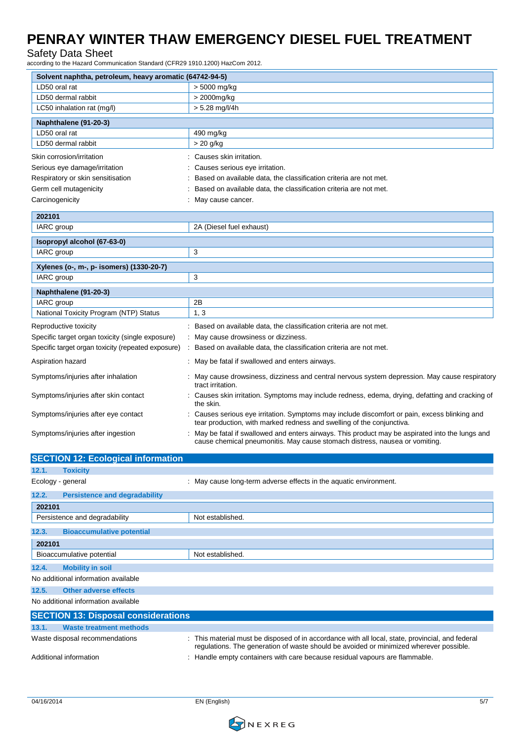## Safety Data Sheet

according to the Hazard Communication Standard (CFR29 1910.1200) HazCom 2012.

| Solvent naphtha, petroleum, heavy aromatic (64742-94-5) |                                                                                                                                                                               |
|---------------------------------------------------------|-------------------------------------------------------------------------------------------------------------------------------------------------------------------------------|
| LD50 oral rat                                           | > 5000 mg/kg                                                                                                                                                                  |
| LD50 dermal rabbit                                      | > 2000mg/kg                                                                                                                                                                   |
| LC50 inhalation rat (mg/l)                              | $> 5.28$ mg/l/4h                                                                                                                                                              |
| Naphthalene (91-20-3)                                   |                                                                                                                                                                               |
| LD50 oral rat                                           | 490 mg/kg                                                                                                                                                                     |
| LD50 dermal rabbit                                      | > 20 g/kg                                                                                                                                                                     |
| Skin corrosion/irritation                               | Causes skin irritation.                                                                                                                                                       |
| Serious eye damage/irritation                           | Causes serious eye irritation.                                                                                                                                                |
| Respiratory or skin sensitisation                       | Based on available data, the classification criteria are not met.                                                                                                             |
| Germ cell mutagenicity                                  | Based on available data, the classification criteria are not met.                                                                                                             |
| Carcinogenicity                                         | May cause cancer.                                                                                                                                                             |
| 202101                                                  |                                                                                                                                                                               |
| IARC group                                              | 2A (Diesel fuel exhaust)                                                                                                                                                      |
| Isopropyl alcohol (67-63-0)                             |                                                                                                                                                                               |
| IARC group                                              | 3                                                                                                                                                                             |
| Xylenes (o-, m-, p- isomers) (1330-20-7)                |                                                                                                                                                                               |
| IARC group                                              | 3                                                                                                                                                                             |
| Naphthalene (91-20-3)                                   |                                                                                                                                                                               |
| IARC group                                              | 2B                                                                                                                                                                            |
| National Toxicity Program (NTP) Status                  | 1, 3                                                                                                                                                                          |
| Reproductive toxicity                                   | Based on available data, the classification criteria are not met.                                                                                                             |
| Specific target organ toxicity (single exposure)        | May cause drowsiness or dizziness.                                                                                                                                            |
| Specific target organ toxicity (repeated exposure)      | Based on available data, the classification criteria are not met.<br>÷                                                                                                        |
| Aspiration hazard                                       | May be fatal if swallowed and enters airways.                                                                                                                                 |
| Symptoms/injuries after inhalation                      | May cause drowsiness, dizziness and central nervous system depression. May cause respiratory<br>tract irritation.                                                             |
| Symptoms/injuries after skin contact                    | : Causes skin irritation. Symptoms may include redness, edema, drying, defatting and cracking of<br>the skin.                                                                 |
| Symptoms/injuries after eye contact                     | Causes serious eye irritation. Symptoms may include discomfort or pain, excess blinking and<br>tear production, with marked redness and swelling of the conjunctiva.          |
| Symptoms/injuries after ingestion                       | May be fatal if swallowed and enters airways. This product may be aspirated into the lungs and<br>cause chemical pneumonitis. May cause stomach distress, nausea or vomiting. |
| <b>SECTION 12: Ecological information</b>               |                                                                                                                                                                               |
| 12.1.<br><b>Toxicity</b>                                |                                                                                                                                                                               |
| Ecology - general                                       | : May cause long-term adverse effects in the aquatic environment.                                                                                                             |
| 12.2.<br><b>Persistence and degradability</b>           |                                                                                                                                                                               |
| 202101                                                  |                                                                                                                                                                               |
| Persistence and degradability                           | Not established.                                                                                                                                                              |

Additional information **income in the containers** : Handle empty containers with care because residual vapours are flammable.

**13.1. Waste treatment methods**

**SECTION 13: Disposal considerations**

**12.3. Bioaccumulative potential**

**12.4. Mobility in soil** No additional information available **12.5. Other adverse effects** No additional information available

Bioaccumulative potential Not established.

**202101**



Waste disposal recommendations : This material must be disposed of in accordance with all local, state, provincial, and federal

regulations. The generation of waste should be avoided or minimized wherever possible.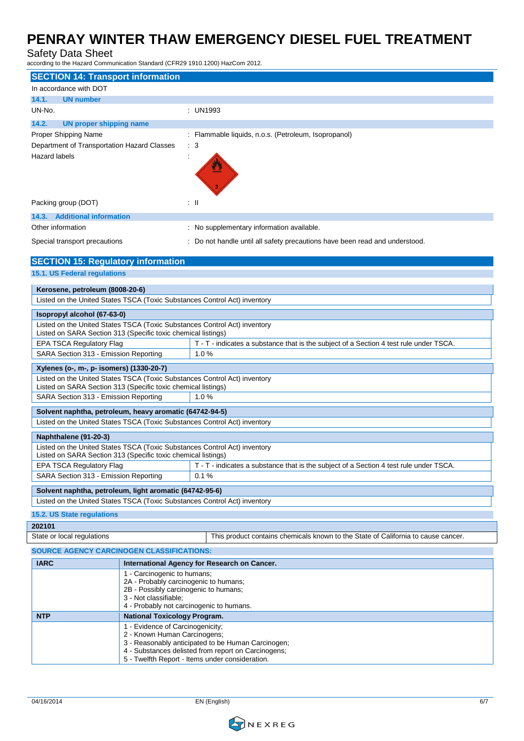#### Safety Data Sheet

according to the Hazard Communication Standard (CFR29 1910.1200) HazCom 2012.

| <b>SECTION 14: Transport information</b>                                                                                                   |                                                                                        |  |  |  |  |
|--------------------------------------------------------------------------------------------------------------------------------------------|----------------------------------------------------------------------------------------|--|--|--|--|
| In accordance with DOT                                                                                                                     |                                                                                        |  |  |  |  |
| 14.1.<br><b>UN number</b>                                                                                                                  |                                                                                        |  |  |  |  |
| UN-No.                                                                                                                                     | : UN1993                                                                               |  |  |  |  |
| 14.2.<br><b>UN proper shipping name</b>                                                                                                    |                                                                                        |  |  |  |  |
| Proper Shipping Name                                                                                                                       | : Flammable liquids, n.o.s. (Petroleum, Isopropanol)                                   |  |  |  |  |
| Department of Transportation Hazard Classes                                                                                                | $\therefore$ 3                                                                         |  |  |  |  |
| Hazard labels                                                                                                                              |                                                                                        |  |  |  |  |
|                                                                                                                                            |                                                                                        |  |  |  |  |
|                                                                                                                                            |                                                                                        |  |  |  |  |
|                                                                                                                                            |                                                                                        |  |  |  |  |
| Packing group (DOT)                                                                                                                        | : II                                                                                   |  |  |  |  |
| 14.3. Additional information                                                                                                               |                                                                                        |  |  |  |  |
| Other information                                                                                                                          | : No supplementary information available.                                              |  |  |  |  |
| Special transport precautions                                                                                                              | : Do not handle until all safety precautions have been read and understood.            |  |  |  |  |
|                                                                                                                                            |                                                                                        |  |  |  |  |
| <b>SECTION 15: Regulatory information</b>                                                                                                  |                                                                                        |  |  |  |  |
| 15.1. US Federal regulations                                                                                                               |                                                                                        |  |  |  |  |
| Kerosene, petroleum (8008-20-6)                                                                                                            |                                                                                        |  |  |  |  |
| Listed on the United States TSCA (Toxic Substances Control Act) inventory                                                                  |                                                                                        |  |  |  |  |
| Isopropyl alcohol (67-63-0)                                                                                                                |                                                                                        |  |  |  |  |
| Listed on the United States TSCA (Toxic Substances Control Act) inventory                                                                  |                                                                                        |  |  |  |  |
| Listed on SARA Section 313 (Specific toxic chemical listings)                                                                              |                                                                                        |  |  |  |  |
| EPA TSCA Regulatory Flag                                                                                                                   | T - T - indicates a substance that is the subject of a Section 4 test rule under TSCA. |  |  |  |  |
| SARA Section 313 - Emission Reporting                                                                                                      | 1.0%                                                                                   |  |  |  |  |
| Xylenes (o-, m-, p- isomers) (1330-20-7)                                                                                                   |                                                                                        |  |  |  |  |
| Listed on the United States TSCA (Toxic Substances Control Act) inventory<br>Listed on SARA Section 313 (Specific toxic chemical listings) |                                                                                        |  |  |  |  |
| SARA Section 313 - Emission Reporting<br>1.0%                                                                                              |                                                                                        |  |  |  |  |
|                                                                                                                                            |                                                                                        |  |  |  |  |
| Solvent naphtha, petroleum, heavy aromatic (64742-94-5)                                                                                    |                                                                                        |  |  |  |  |
| Listed on the United States TSCA (Toxic Substances Control Act) inventory                                                                  |                                                                                        |  |  |  |  |
| Naphthalene (91-20-3)                                                                                                                      |                                                                                        |  |  |  |  |
| Listed on the United States TSCA (Toxic Substances Control Act) inventory<br>Listed on SARA Section 313 (Specific toxic chemical listings) |                                                                                        |  |  |  |  |
| EPA TSCA Regulatory Flag                                                                                                                   | $T - T$ indicates a substance that is the subject of a Section 4 test rule under TSCA  |  |  |  |  |
| SARA Section 313 - Emission Reporting<br>0.1%                                                                                              |                                                                                        |  |  |  |  |
| Solvent naphtha, petroleum, light aromatic (64742-95-6)                                                                                    |                                                                                        |  |  |  |  |
| Listed on the United States TSCA (Toxic Substances Control Act) inventory                                                                  |                                                                                        |  |  |  |  |
| 15.2. US State regulations                                                                                                                 |                                                                                        |  |  |  |  |
| 202101                                                                                                                                     |                                                                                        |  |  |  |  |
| State or local regulations<br>This product contains chemicals known to the State of California to cause cancer.                            |                                                                                        |  |  |  |  |
| <b>SOURCE AGENCY CARCINOGEN CLASSIFICATIONS:</b>                                                                                           |                                                                                        |  |  |  |  |
| <b>IARC</b><br>International Agency for Research on Cancer.                                                                                |                                                                                        |  |  |  |  |
|                                                                                                                                            | 1 - Carcinogenic to humans;                                                            |  |  |  |  |
|                                                                                                                                            | 2A - Probably carcinogenic to humans;<br>2B - Possibly carcinogenic to humans;         |  |  |  |  |
| 3 - Not classifiable;                                                                                                                      |                                                                                        |  |  |  |  |
|                                                                                                                                            | 4 - Probably not carcinogenic to humans.                                               |  |  |  |  |
| <b>NTP</b>                                                                                                                                 | <b>National Toxicology Program.</b>                                                    |  |  |  |  |
| 1 - Evidence of Carcinogenicity;<br>2 - Known Human Carcinogens;                                                                           |                                                                                        |  |  |  |  |
| 3 - Reasonably anticipated to be Human Carcinogen;                                                                                         |                                                                                        |  |  |  |  |
| 4 - Substances delisted from report on Carcinogens;<br>5 - Twelfth Report - Items under consideration.                                     |                                                                                        |  |  |  |  |